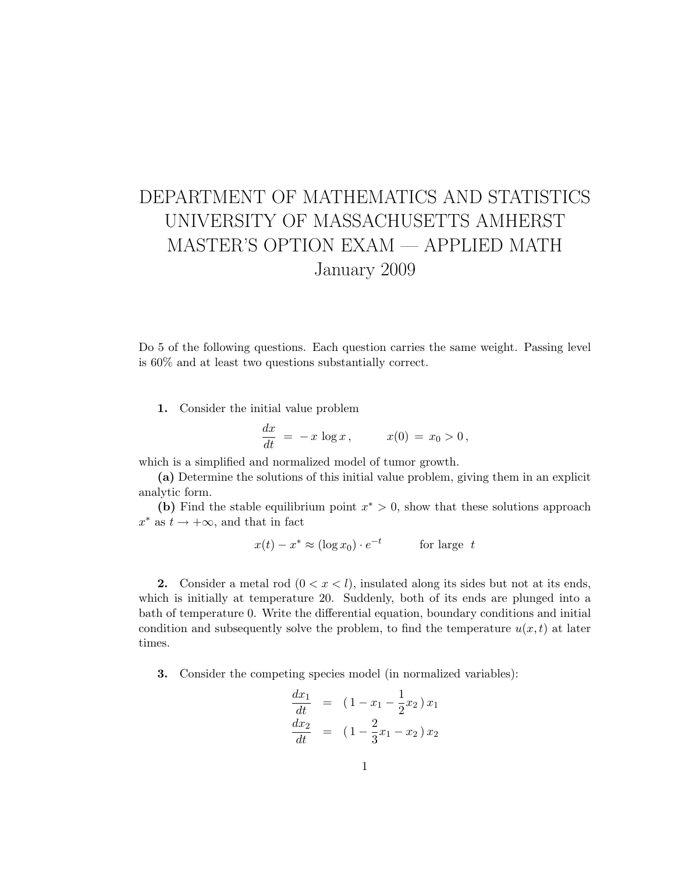## DEPARTMENT OF MATHEMATICS AND STATISTICS UNIVERSITY OF MASSACHUSETTS AMHERST MASTER'S OPTION EXAM — APPLIED MATH January 2009

Do 5 of the following questions. Each question carries the same weight. Passing level is 60% and at least two questions substantially correct.

1. Consider the initial value problem

$$
\frac{dx}{dt} = -x \log x, \qquad x(0) = x_0 > 0,
$$

which is a simplified and normalized model of tumor growth.

(a) Determine the solutions of this initial value problem, giving them in an explicit analytic form.

(b) Find the stable equilibrium point  $x^* > 0$ , show that these solutions approach  $x^*$  as  $t \to +\infty$ , and that in fact

$$
x(t) - x^* \approx (\log x_0) \cdot e^{-t} \qquad \text{for large } t
$$

2. Consider a metal rod  $(0 < x < l)$ , insulated along its sides but not at its ends, which is initially at temperature 20. Suddenly, both of its ends are plunged into a bath of temperature 0. Write the differential equation, boundary conditions and initial condition and subsequently solve the problem, to find the temperature  $u(x, t)$  at later times.

3. Consider the competing species model (in normalized variables):

$$
\frac{dx_1}{dt} = (1 - x_1 - \frac{1}{2}x_2)x_1
$$
  

$$
\frac{dx_2}{dt} = (1 - \frac{2}{3}x_1 - x_2)x_2
$$